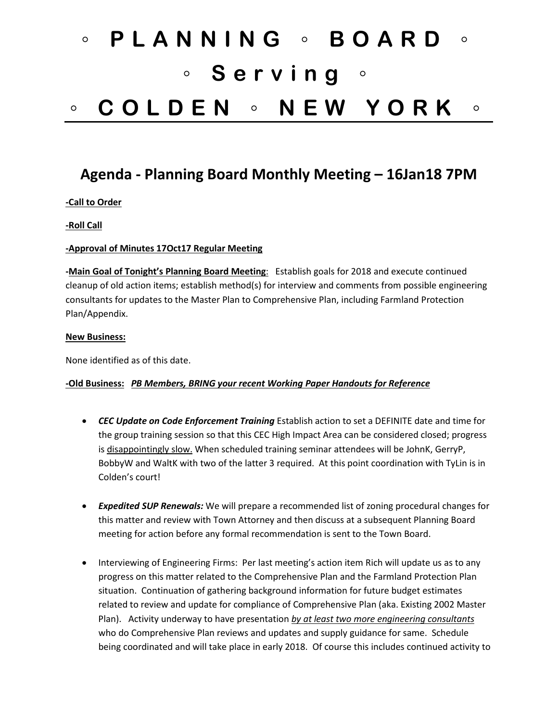# ◦ **PLANNING** ◦ **BOARD** ◦ ◦ **Serving** ◦ ◦ **COLDEN** ◦ **NEW YORK** ◦

# **Agenda - Planning Board Monthly Meeting – 16Jan18 7PM**

#### **-Call to Order**

#### **-Roll Call**

#### **-Approval of Minutes 17Oct17 Regular Meeting**

**-Main Goal of Tonight's Planning Board Meeting**: Establish goals for 2018 and execute continued cleanup of old action items; establish method(s) for interview and comments from possible engineering consultants for updates to the Master Plan to Comprehensive Plan, including Farmland Protection Plan/Appendix.

#### **New Business:**

None identified as of this date.

#### **-Old Business:** *PB Members, BRING your recent Working Paper Handouts for Reference*

- *CEC Update on Code Enforcement Training* Establish action to set a DEFINITE date and time for the group training session so that this CEC High Impact Area can be considered closed; progress is disappointingly slow. When scheduled training seminar attendees will be JohnK, GerryP, BobbyW and WaltK with two of the latter 3 required. At this point coordination with TyLin is in Colden's court!
- *Expedited SUP Renewals:* We will prepare a recommended list of zoning procedural changes for this matter and review with Town Attorney and then discuss at a subsequent Planning Board meeting for action before any formal recommendation is sent to the Town Board.
- Interviewing of Engineering Firms: Per last meeting's action item Rich will update us as to any progress on this matter related to the Comprehensive Plan and the Farmland Protection Plan situation. Continuation of gathering background information for future budget estimates related to review and update for compliance of Comprehensive Plan (aka. Existing 2002 Master Plan). Activity underway to have presentation *by at least two more engineering consultants* who do Comprehensive Plan reviews and updates and supply guidance for same. Schedule being coordinated and will take place in early 2018. Of course this includes continued activity to